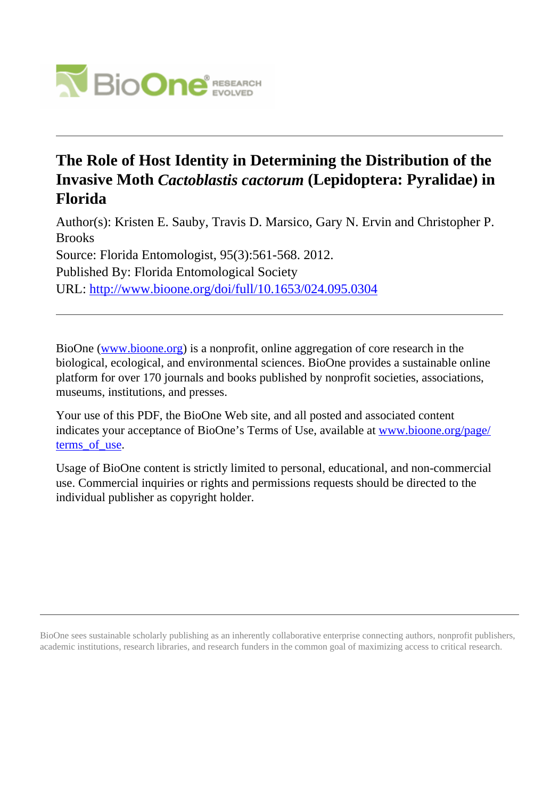

# **The Role of Host Identity in Determining the Distribution of the Invasive Moth** *Cactoblastis cactorum* **(Lepidoptera: Pyralidae) in Florida**

Author(s): Kristen E. Sauby, Travis D. Marsico, Gary N. Ervin and Christopher P. Brooks Source: Florida Entomologist, 95(3):561-568. 2012. Published By: Florida Entomological Society URL: <http://www.bioone.org/doi/full/10.1653/024.095.0304>

BioOne [\(www.bioone.org\)](http://www.bioone.org) is a nonprofit, online aggregation of core research in the biological, ecological, and environmental sciences. BioOne provides a sustainable online platform for over 170 journals and books published by nonprofit societies, associations, museums, institutions, and presses.

Your use of this PDF, the BioOne Web site, and all posted and associated content indicates your acceptance of BioOne's Terms of Use, available at [www.bioone.org/page/](http://www.bioone.org/page/terms_of_use) terms of use.

Usage of BioOne content is strictly limited to personal, educational, and non-commercial use. Commercial inquiries or rights and permissions requests should be directed to the individual publisher as copyright holder.

BioOne sees sustainable scholarly publishing as an inherently collaborative enterprise connecting authors, nonprofit publishers, academic institutions, research libraries, and research funders in the common goal of maximizing access to critical research.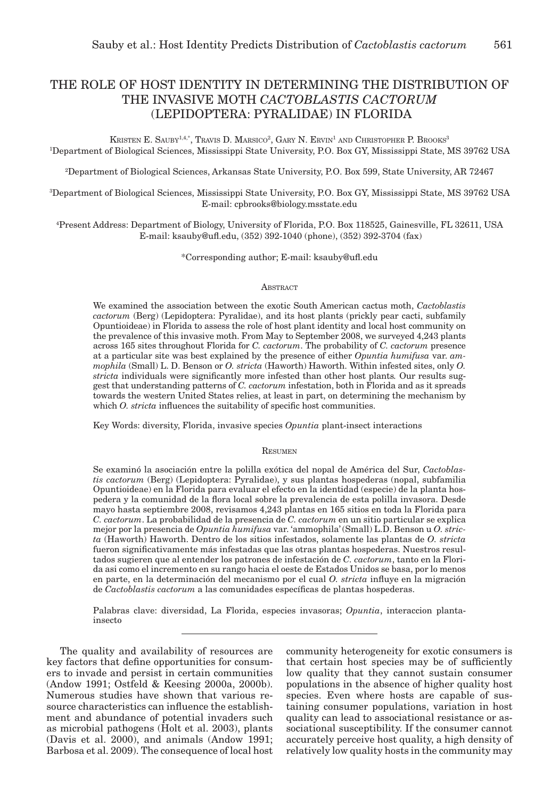# THE ROLE OF HOST IDENTITY IN DETERMINING THE DISTRIBUTION OF THE INVASIVE MOTH *CACTOBLASTIS CACTORUM*  (LEPIDOPTERA: PYRALIDAE) IN FLORIDA

KRISTEN E. SAUBY<sup>1,4,\*</sup>, Travis D. Marsico<sup>2</sup>, Gary N. Ervin<sup>1</sup> and Christopher P. Brooks<sup>3</sup> 1 Department of Biological Sciences, Mississippi State University, P.O. Box GY, Mississippi State, MS 39762 USA

2 Department of Biological Sciences, Arkansas State University, P.O. Box 599, State University, AR 72467

3 Department of Biological Sciences, Mississippi State University, P.O. Box GY, Mississippi State, MS 39762 USA E-mail: cpbrooks@biology.msstate.edu

4 Present Address: Department of Biology, University of Florida, P.O. Box 118525, Gainesville, FL 32611, USA E-mail: ksauby@ufl.edu, (352) 392-1040 (phone), (352) 392-3704 (fax)

\*Corresponding author; E-mail: ksauby@ufl.edu

# **ABSTRACT**

We examined the association between the exotic South American cactus moth, *Cactoblastis cactorum* (Berg) (Lepidoptera: Pyralidae), and its host plants (prickly pear cacti, subfamily Opuntioideae) in Florida to assess the role of host plant identity and local host community on the prevalence of this invasive moth. From May to September 2008, we surveyed 4,243 plants across 165 sites throughout Florida for *C. cactorum*. The probability of *C. cactorum* presence at a particular site was best explained by the presence of either *Opuntia humifusa* var. *ammophila* (Small) L. D. Benson or *O. stricta* (Haworth) Haworth. Within infested sites, only *O. stricta* individuals were significantly more infested than other host plants*.* Our results suggest that understanding patterns of *C. cactorum* infestation, both in Florida and as it spreads towards the western United States relies, at least in part, on determining the mechanism by which *O. stricta* influences the suitability of specific host communities.

Key Words: diversity, Florida, invasive species *Opuntia* plant-insect interactions

#### **RESUMEN**

Se examinó la asociación entre la polilla exótica del nopal de América del Sur, *Cactoblastis cactorum* (Berg) (Lepidoptera: Pyralidae), y sus plantas hospederas (nopal, subfamilia Opuntioideae) en la Florida para evaluar el efecto en la identidad (especie) de la planta hospedera y la comunidad de la flora local sobre la prevalencia de esta polilla invasora. Desde mayo hasta septiembre 2008, revisamos 4,243 plantas en 165 sitios en toda la Florida para *C. cactorum*. La probabilidad de la presencia de *C. cactorum* en un sitio particular se explica mejor por la presencia de *Opuntia humifusa* var. 'ammophila' (Small) L.D. Benson u *O. stricta* (Haworth) Haworth. Dentro de los sitios infestados, solamente las plantas de *O. stricta* fueron significativamente más infestadas que las otras plantas hospederas. Nuestros resultados sugieren que al entender los patrones de infestación de *C. cactorum*, tanto en la Florida asi como el incremento en su rango hacia el oeste de Estados Unidos se basa, por lo menos en parte, en la determinación del mecanismo por el cual *O. stricta* influye en la migración de *Cactoblastis cactorum* a las comunidades específicas de plantas hospederas.

Palabras clave: diversidad, La Florida, especies invasoras; *Opuntia*, interaccion plantainsecto

The quality and availability of resources are key factors that define opportunities for consumers to invade and persist in certain communities (Andow 1991; Ostfeld & Keesing 2000a, 2000b). Numerous studies have shown that various resource characteristics can influence the establishment and abundance of potential invaders such as microbial pathogens (Holt et al. 2003), plants (Davis et al. 2000), and animals (Andow 1991; Barbosa et al. 2009). The consequence of local host community heterogeneity for exotic consumers is that certain host species may be of sufficiently low quality that they cannot sustain consumer populations in the absence of higher quality host species. Even where hosts are capable of sustaining consumer populations, variation in host quality can lead to associational resistance or associational susceptibility. If the consumer cannot accurately perceive host quality, a high density of relatively low quality hosts in the community may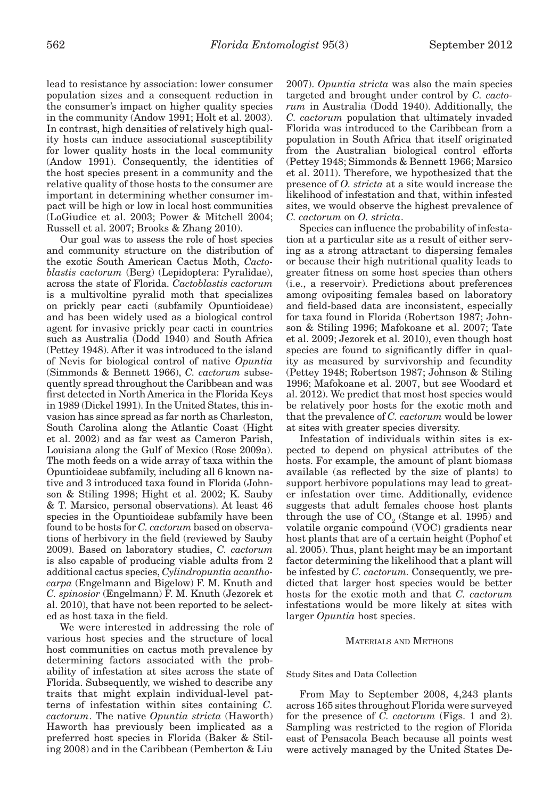lead to resistance by association: lower consumer population sizes and a consequent reduction in the consumer's impact on higher quality species in the community (Andow 1991; Holt et al. 2003). In contrast, high densities of relatively high quality hosts can induce associational susceptibility for lower quality hosts in the local community (Andow 1991). Consequently, the identities of the host species present in a community and the relative quality of those hosts to the consumer are important in determining whether consumer impact will be high or low in local host communities (LoGiudice et al. 2003; Power & Mitchell 2004; Russell et al. 2007; Brooks & Zhang 2010).

Our goal was to assess the role of host species and community structure on the distribution of the exotic South American Cactus Moth, *Cactoblastis cactorum* (Berg) (Lepidoptera: Pyralidae), across the state of Florida. *Cactoblastis cactorum* is a multivoltine pyralid moth that specializes on prickly pear cacti (subfamily Opuntioideae) and has been widely used as a biological control agent for invasive prickly pear cacti in countries such as Australia (Dodd 1940) and South Africa (Pettey 1948). After it was introduced to the island of Nevis for biological control of native *Opuntia* (Simmonds & Bennett 1966), *C. cactorum* subsequently spread throughout the Caribbean and was first detected in North America in the Florida Keys in 1989 (Dickel 1991). In the United States, this invasion has since spread as far north as Charleston, South Carolina along the Atlantic Coast (Hight et al. 2002) and as far west as Cameron Parish, Louisiana along the Gulf of Mexico (Rose 2009a). The moth feeds on a wide array of taxa within the Opuntioideae subfamily, including all 6 known native and 3 introduced taxa found in Florida (Johnson & Stiling 1998; Hight et al. 2002; K. Sauby & T. Marsico, personal observations). At least 46 species in the Opuntioideae subfamily have been found to be hosts for *C. cactorum* based on observations of herbivory in the field (reviewed by Sauby 2009). Based on laboratory studies, *C. cactorum* is also capable of producing viable adults from 2 additional cactus species, *Cylindropuntia acanthocarpa* (Engelmann and Bigelow) F. M. Knuth and *C. spinosior* (Engelmann) F. M. Knuth (Jezorek et al. 2010), that have not been reported to be selected as host taxa in the field.

We were interested in addressing the role of various host species and the structure of local host communities on cactus moth prevalence by determining factors associated with the probability of infestation at sites across the state of Florida. Subsequently, we wished to describe any traits that might explain individual-level patterns of infestation within sites containing *C. cactorum*. The native *Opuntia stricta* (Haworth) Haworth has previously been implicated as a preferred host species in Florida (Baker & Stiling 2008) and in the Caribbean (Pemberton & Liu

2007). *Opuntia stricta* was also the main species targeted and brought under control by *C. cactorum* in Australia (Dodd 1940). Additionally, the *C. cactorum* population that ultimately invaded Florida was introduced to the Caribbean from a population in South Africa that itself originated from the Australian biological control efforts (Pettey 1948; Simmonds & Bennett 1966; Marsico et al. 2011). Therefore, we hypothesized that the presence of *O. stricta* at a site would increase the likelihood of infestation and that, within infested sites, we would observe the highest prevalence of *C. cactorum* on *O. stricta*.

Species can influence the probability of infestation at a particular site as a result of either serving as a strong attractant to dispersing females or because their high nutritional quality leads to greater fitness on some host species than others (i.e., a reservoir). Predictions about preferences among ovipositing females based on laboratory and field-based data are inconsistent, especially for taxa found in Florida (Robertson 1987; Johnson & Stiling 1996; Mafokoane et al. 2007; Tate et al. 2009; Jezorek et al. 2010), even though host species are found to significantly differ in quality as measured by survivorship and fecundity (Pettey 1948; Robertson 1987; Johnson & Stiling 1996; Mafokoane et al. 2007, but see Woodard et al. 2012). We predict that most host species would be relatively poor hosts for the exotic moth and that the prevalence of *C. cactorum* would be lower at sites with greater species diversity.

Infestation of individuals within sites is expected to depend on physical attributes of the hosts. For example, the amount of plant biomass available (as reflected by the size of plants) to support herbivore populations may lead to greater infestation over time. Additionally, evidence suggests that adult females choose host plants through the use of  $\mathrm{CO}_2$  (Stange et al. 1995) and volatile organic compound (VOC) gradients near host plants that are of a certain height (Pophof et al. 2005). Thus, plant height may be an important factor determining the likelihood that a plant will be infested by *C. cactorum.* Consequently, we predicted that larger host species would be better hosts for the exotic moth and that *C. cactorum* infestations would be more likely at sites with larger *Opuntia* host species.

# MATERIALS AND METHODS

#### Study Sites and Data Collection

From May to September 2008, 4,243 plants across 165 sites throughout Florida were surveyed for the presence of *C. cactorum* (Figs. 1 and 2). Sampling was restricted to the region of Florida east of Pensacola Beach because all points west were actively managed by the United States De-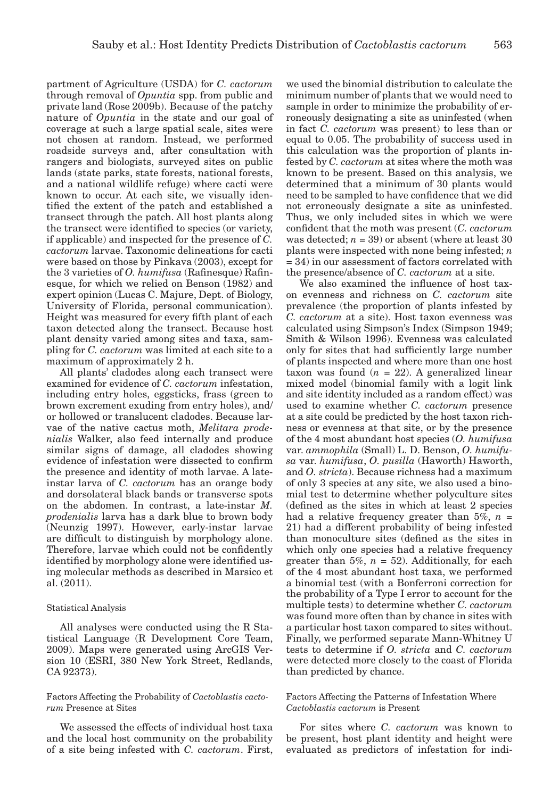partment of Agriculture (USDA) for *C. cactorum* through removal of *Opuntia* spp. from public and private land (Rose 2009b). Because of the patchy nature of *Opuntia* in the state and our goal of coverage at such a large spatial scale, sites were not chosen at random. Instead, we performed roadside surveys and, after consultation with rangers and biologists, surveyed sites on public lands (state parks, state forests, national forests, and a national wildlife refuge) where cacti were known to occur. At each site, we visually identified the extent of the patch and established a transect through the patch. All host plants along the transect were identified to species (or variety, if applicable) and inspected for the presence of *C. cactorum* larvae. Taxonomic delineations for cacti were based on those by Pinkava (2003), except for the 3 varieties of *O. humifusa* (Rafinesque) Rafinesque, for which we relied on Benson (1982) and expert opinion (Lucas C. Majure, Dept. of Biology, University of Florida, personal communication). Height was measured for every fifth plant of each taxon detected along the transect. Because host plant density varied among sites and taxa, sampling for *C. cactorum* was limited at each site to a maximum of approximately 2 h.

All plants' cladodes along each transect were examined for evidence of *C. cactorum* infestation, including entry holes, eggsticks, frass (green to brown excrement exuding from entry holes), and/ or hollowed or translucent cladodes. Because larvae of the native cactus moth, *Melitara prodenialis* Walker, also feed internally and produce similar signs of damage, all cladodes showing evidence of infestation were dissected to confirm the presence and identity of moth larvae. A lateinstar larva of *C. cactorum* has an orange body and dorsolateral black bands or transverse spots on the abdomen. In contrast, a late-instar *M. prodenialis* larva has a dark blue to brown body (Neunzig 1997). However, early-instar larvae are difficult to distinguish by morphology alone. Therefore, larvae which could not be confidently identified by morphology alone were identified using molecular methods as described in Marsico et al. (2011).

# Statistical Analysis

All analyses were conducted using the R Statistical Language (R Development Core Team, 2009). Maps were generated using ArcGIS Version 10 (ESRI, 380 New York Street, Redlands, CA 92373).

# Factors Affecting the Probability of *Cactoblastis cactorum* Presence at Sites

We assessed the effects of individual host taxa and the local host community on the probability of a site being infested with *C. cactorum*. First, we used the binomial distribution to calculate the minimum number of plants that we would need to sample in order to minimize the probability of erroneously designating a site as uninfested (when in fact *C. cactorum* was present) to less than or equal to 0.05. The probability of success used in this calculation was the proportion of plants infested by *C. cactorum* at sites where the moth was known to be present. Based on this analysis, we determined that a minimum of 30 plants would need to be sampled to have confidence that we did not erroneously designate a site as uninfested. Thus, we only included sites in which we were confident that the moth was present (*C. cactorum* was detected;  $n = 39$ ) or absent (where at least 30) plants were inspected with none being infested; *n* = 34) in our assessment of factors correlated with the presence/absence of *C. cactorum* at a site.

We also examined the influence of host taxon evenness and richness on *C. cactorum* site prevalence (the proportion of plants infested by *C. cactorum* at a site). Host taxon evenness was calculated using Simpson's Index (Simpson 1949; Smith & Wilson 1996). Evenness was calculated only for sites that had sufficiently large number of plants inspected and where more than one host taxon was found  $(n = 22)$ . A generalized linear mixed model (binomial family with a logit link and site identity included as a random effect) was used to examine whether *C. cactorum* presence at a site could be predicted by the host taxon richness or evenness at that site, or by the presence of the 4 most abundant host species (*O. humifusa* var. *ammophila* (Small) L. D. Benson, *O. humifusa* var. *humifusa*, *O. pusilla* (Haworth) Haworth, and *O. stricta*). Because richness had a maximum of only 3 species at any site, we also used a binomial test to determine whether polyculture sites (defined as the sites in which at least 2 species had a relative frequency greater than  $5\%$ ,  $n =$ 21) had a different probability of being infested than monoculture sites (defined as the sites in which only one species had a relative frequency greater than  $5\%, n = 52$ ). Additionally, for each of the 4 most abundant host taxa, we performed a binomial test (with a Bonferroni correction for the probability of a Type I error to account for the multiple tests) to determine whether *C. cactorum* was found more often than by chance in sites with a particular host taxon compared to sites without. Finally, we performed separate Mann-Whitney U tests to determine if *O. stricta* and *C. cactorum* were detected more closely to the coast of Florida than predicted by chance.

# Factors Affecting the Patterns of Infestation Where *Cactoblastis cactorum* is Present

For sites where *C. cactorum* was known to be present, host plant identity and height were evaluated as predictors of infestation for indi-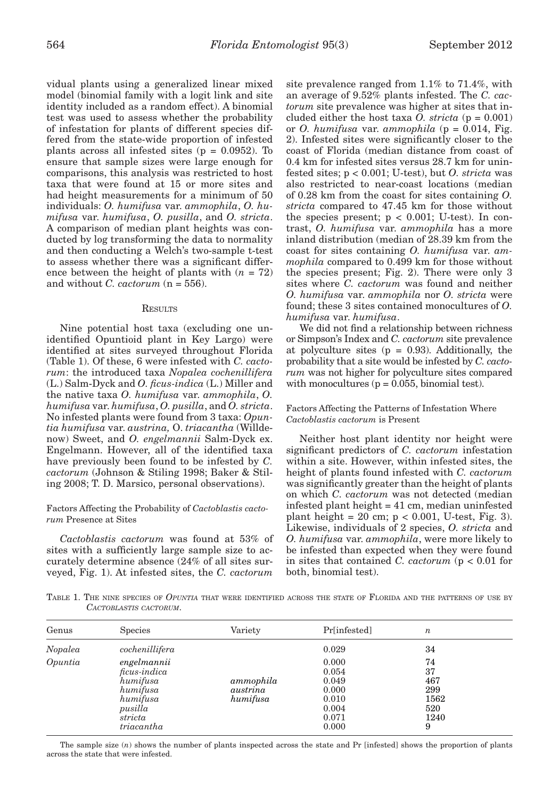vidual plants using a generalized linear mixed model (binomial family with a logit link and site identity included as a random effect). A binomial test was used to assess whether the probability of infestation for plants of different species differed from the state-wide proportion of infested plants across all infested sites  $(p = 0.0952)$ . To ensure that sample sizes were large enough for comparisons, this analysis was restricted to host taxa that were found at 15 or more sites and had height measurements for a minimum of 50 individuals: *O. humifusa* var. *ammophila*, *O. humifusa* var. *humifusa*, *O. pusilla*, and *O. stricta*. A comparison of median plant heights was conducted by log transforming the data to normality and then conducting a Welch's two-sample t-test to assess whether there was a significant difference between the height of plants with  $(n = 72)$ and without *C. cactorum* (n = 556).

#### RESULTS

Nine potential host taxa (excluding one unidentified Opuntioid plant in Key Largo) were identified at sites surveyed throughout Florida (Table 1). Of these, 6 were infested with *C. cactorum*: the introduced taxa *Nopalea cochenillifera* (L.) Salm-Dyck and *O. ficus-indica* (L.) Miller and the native taxa *O. humifusa* var. *ammophila*, *O. humifusa* var. *humifusa*, *O. pusilla*, and *O. stricta*. No infested plants were found from 3 taxa: *Opuntia humifusa* var. *austrina,* O. *triacantha* (Willdenow) Sweet, and *O. engelmannii* Salm-Dyck ex. Engelmann. However, all of the identified taxa have previously been found to be infested by *C. cactorum* (Johnson & Stiling 1998; Baker & Stiling 2008; T. D. Marsico, personal observations).

# Factors Affecting the Probability of *Cactoblastis cactorum* Presence at Sites

*Cactoblastis cactorum* was found at 53% of sites with a sufficiently large sample size to accurately determine absence (24% of all sites surveyed, Fig. 1). At infested sites, the *C. cactorum* 

site prevalence ranged from 1.1% to 71.4%, with an average of 9.52% plants infested. The *C. cactorum* site prevalence was higher at sites that included either the host taxa *O. stricta*  $(p = 0.001)$ or *O. humifusa* var. *ammophila* (p = 0.014, Fig. 2). Infested sites were significantly closer to the coast of Florida (median distance from coast of 0.4 km for infested sites versus 28.7 km for uninfested sites; p < 0.001; U-test), but *O. stricta* was also restricted to near-coast locations (median of 0.28 km from the coast for sites containing *O. stricta* compared to 47.45 km for those without the species present;  $p < 0.001$ ; U-test). In contrast, *O. humifusa* var. *ammophila* has a more inland distribution (median of 28.39 km from the coast for sites containing *O. humifusa* var. *ammophila* compared to 0.499 km for those without the species present; Fig. 2). There were only 3 sites where *C. cactorum* was found and neither *O. humifusa* var. *ammophila* nor *O. stricta* were found; these 3 sites contained monocultures of *O. humifusa* var. *humifusa*.

We did not find a relationship between richness or Simpson's Index and *C. cactorum* site prevalence at polyculture sites  $(p = 0.93)$ . Additionally, the probability that a site would be infested by *C. cactorum* was not higher for polyculture sites compared with monocultures  $(p = 0.055$ , binomial test).

# Factors Affecting the Patterns of Infestation Where *Cactoblastis cactorum* is Present

Neither host plant identity nor height were significant predictors of *C. cactorum* infestation within a site. However, within infested sites, the height of plants found infested with *C. cactorum* was significantly greater than the height of plants on which *C. cactorum* was not detected (median infested plant height = 41 cm, median uninfested plant height =  $20 \text{ cm}$ ; p <  $0.001$ , U-test, Fig. 3). Likewise, individuals of 2 species, *O. stricta* and *O. humifusa* var. *ammophila*, were more likely to be infested than expected when they were found in sites that contained *C. cactorum* (p < 0.01 for both, binomial test).

TABLE 1. THE NINE SPECIES OF *OPUNTIA* THAT WERE IDENTIFIED ACROSS THE STATE OF FLORIDA AND THE PATTERNS OF USE BY *CACTOBLASTIS CACTORUM*.

| Genus   | <b>Species</b>                                                                                      | Variety                           | Pr[infested]                                                         | $\boldsymbol{n}$                                   |
|---------|-----------------------------------------------------------------------------------------------------|-----------------------------------|----------------------------------------------------------------------|----------------------------------------------------|
| Nopalea | cochenillifera                                                                                      |                                   | 0.029                                                                | 34                                                 |
| Opuntia | engelmannii<br>ficus-indica<br>humifusa<br>humifusa<br>humifusa<br>pusilla<br>stricta<br>triacantha | ammophila<br>austrina<br>humifusa | 0.000<br>0.054<br>0.049<br>0.000<br>0.010<br>0.004<br>0.071<br>0.000 | 74<br>37<br>467<br>299<br>1562<br>520<br>1240<br>9 |

The sample size (*n*) shows the number of plants inspected across the state and Pr [infested] shows the proportion of plants across the state that were infested.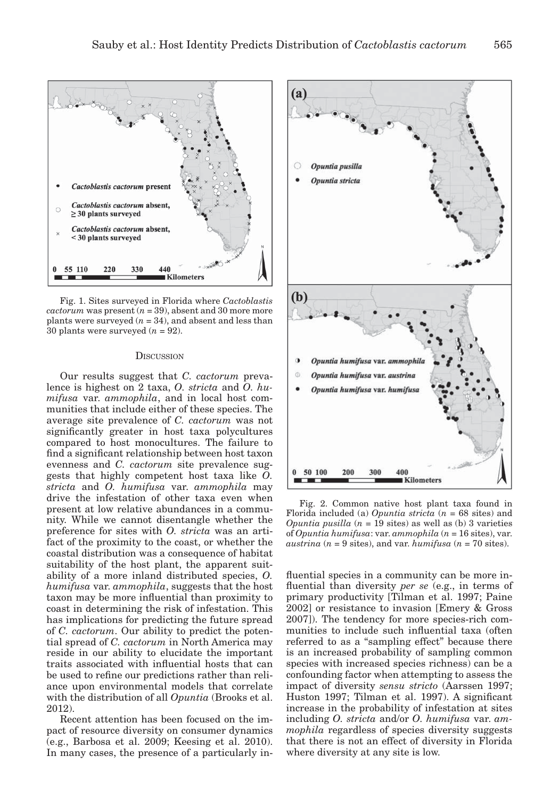

Fig. 1. Sites surveyed in Florida where *Cactoblastis cactorum* was present  $(n = 39)$ , absent and 30 more more plants were surveyed  $(n = 34)$ , and absent and less than  $30$  plants were surveyed ( $n = 92$ ).

#### **DISCUSSION**

Our results suggest that *C. cactorum* prevalence is highest on 2 taxa, *O. stricta* and *O. humifusa* var. *ammophila*, and in local host communities that include either of these species. The average site prevalence of *C. cactorum* was not significantly greater in host taxa polycultures compared to host monocultures. The failure to find a significant relationship between host taxon evenness and *C. cactorum* site prevalence suggests that highly competent host taxa like *O. stricta* and *O. humifusa* var. *ammophila* may drive the infestation of other taxa even when present at low relative abundances in a community. While we cannot disentangle whether the preference for sites with *O. stricta* was an artifact of the proximity to the coast, or whether the coastal distribution was a consequence of habitat suitability of the host plant, the apparent suitability of a more inland distributed species, *O. humifusa* var. *ammophila*, suggests that the host taxon may be more influential than proximity to coast in determining the risk of infestation. This has implications for predicting the future spread of *C. cactorum*. Our ability to predict the potential spread of *C. cactorum* in North America may reside in our ability to elucidate the important traits associated with influential hosts that can be used to refine our predictions rather than reliance upon environmental models that correlate with the distribution of all *Opuntia* (Brooks et al. 2012).

Recent attention has been focused on the impact of resource diversity on consumer dynamics (e.g., Barbosa et al. 2009; Keesing et al. 2010). In many cases, the presence of a particularly in-



Fig. 2. Common native host plant taxa found in Florida included (a) *Opuntia stricta* (*n* = 68 sites) and *Opuntia pusilla*  $(n = 19$  sites) as well as  $(b)$  3 varieties of *Opuntia humifusa*: var. *ammophila* (*n* = 16 sites), var. *austrina* ( $n = 9$  sites), and var. *humifusa* ( $n = 70$  sites).

fluential species in a community can be more influential than diversity *per se* (e.g., in terms of primary productivity [Tilman et al. 1997; Paine 2002] or resistance to invasion [Emery & Gross 2007]). The tendency for more species-rich communities to include such influential taxa (often referred to as a "sampling effect" because there is an increased probability of sampling common species with increased species richness) can be a confounding factor when attempting to assess the impact of diversity *sensu stricto* (Aarssen 1997; Huston 1997; Tilman et al. 1997). A significant increase in the probability of infestation at sites including *O. stricta* and/or *O. humifusa* var. *ammophila* regardless of species diversity suggests that there is not an effect of diversity in Florida where diversity at any site is low.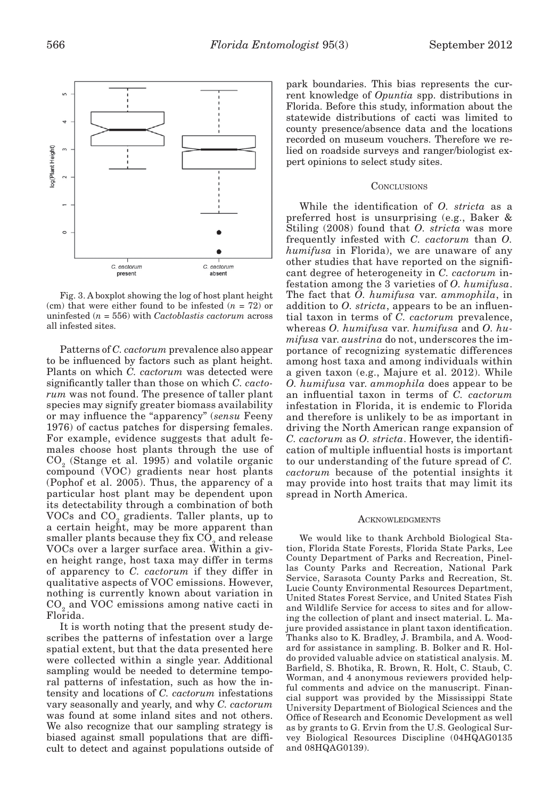

Fig. 3. A boxplot showing the log of host plant height (cm) that were either found to be infested  $(n = 72)$  or uninfested (*n* = 556) with *Cactoblastis cactorum* across all infested sites.

Patterns of *C. cactorum* prevalence also appear to be influenced by factors such as plant height. Plants on which *C. cactorum* was detected were significantly taller than those on which *C. cactorum* was not found. The presence of taller plant species may signify greater biomass availability or may influence the "apparency" (*sensu* Feeny 1976) of cactus patches for dispersing females. For example, evidence suggests that adult females choose host plants through the use of CO2 (Stange et al. 1995) and volatile organic compound (VOC) gradients near host plants (Pophof et al. 2005). Thus, the apparency of a particular host plant may be dependent upon its detectability through a combination of both VOCs and  $CO<sub>2</sub>$  gradients. Taller plants, up to a certain height, may be more apparent than smaller plants because they fix  $CO<sub>o</sub>$  and release VOCs over a larger surface area. Within a given height range, host taxa may differ in terms of apparency to *C. cactorum* if they differ in qualitative aspects of VOC emissions. However, nothing is currently known about variation in CO<sub>2</sub> and VOC emissions among native cacti in Florida.

It is worth noting that the present study describes the patterns of infestation over a large spatial extent, but that the data presented here were collected within a single year. Additional sampling would be needed to determine temporal patterns of infestation, such as how the intensity and locations of *C. cactorum* infestations vary seasonally and yearly, and why *C. cactorum* was found at some inland sites and not others. We also recognize that our sampling strategy is biased against small populations that are difficult to detect and against populations outside of

park boundaries. This bias represents the current knowledge of *Opuntia* spp. distributions in Florida. Before this study, information about the statewide distributions of cacti was limited to county presence/absence data and the locations recorded on museum vouchers. Therefore we relied on roadside surveys and ranger/biologist expert opinions to select study sites.

#### **CONCLUSIONS**

While the identification of *O. stricta* as a preferred host is unsurprising (e.g., Baker & Stiling (2008) found that *O. stricta* was more frequently infested with *C. cactorum* than *O. humifusa* in Florida), we are unaware of any other studies that have reported on the significant degree of heterogeneity in *C. cactorum* infestation among the 3 varieties of *O. humifusa*. The fact that *O. humifusa* var. *ammophila*, in addition to *O. stricta*, appears to be an influential taxon in terms of *C. cactorum* prevalence, whereas *O. humifusa* var. *humifusa* and *O. humifusa* var. *austrina* do not, underscores the importance of recognizing systematic differences among host taxa and among individuals within a given taxon (e.g., Majure et al. 2012). While *O. humifusa* var. *ammophila* does appear to be an influential taxon in terms of *C. cactorum* infestation in Florida, it is endemic to Florida and therefore is unlikely to be as important in driving the North American range expansion of *C. cactorum* as *O. stricta*. However, the identification of multiple influential hosts is important to our understanding of the future spread of *C. cactorum* because of the potential insights it may provide into host traits that may limit its spread in North America.

#### **ACKNOWLEDGMENTS**

We would like to thank Archbold Biological Station, Florida State Forests, Florida State Parks, Lee County Department of Parks and Recreation, Pinellas County Parks and Recreation, National Park Service, Sarasota County Parks and Recreation, St. Lucie County Environmental Resources Department, United States Forest Service, and United States Fish and Wildlife Service for access to sites and for allowing the collection of plant and insect material. L. Majure provided assistance in plant taxon identification. Thanks also to K. Bradley, J. Brambila, and A. Woodard for assistance in sampling. B. Bolker and R. Holdo provided valuable advice on statistical analysis. M. Barfield, S. Bhotika, R. Brown, R. Holt, C. Staub, C. Worman, and 4 anonymous reviewers provided helpful comments and advice on the manuscript. Financial support was provided by the Mississippi State University Department of Biological Sciences and the Office of Research and Economic Development as well as by grants to G. Ervin from the U.S. Geological Survey Biological Resources Discipline (04HQAG0135 and 08HQAG0139).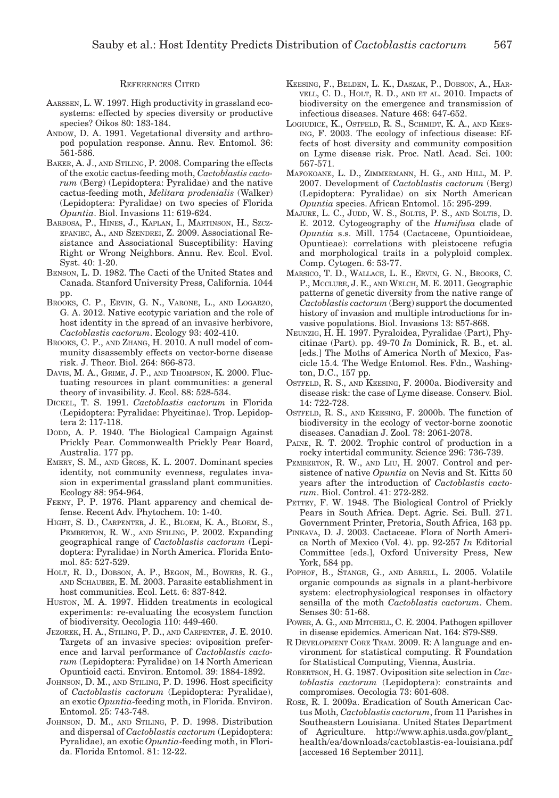#### REFERENCES CITED

- AARSSEN, L. W. 1997. High productivity in grassland ecosystems: effected by species diversity or productive species? Oikos 80: 183-184.
- ANDOW, D. A. 1991. Vegetational diversity and arthropod population response. Annu. Rev. Entomol. 36: 561-586.
- BAKER, A. J., AND STILING, P. 2008. Comparing the effects of the exotic cactus-feeding moth, *Cactoblastis cactorum* (Berg) (Lepidoptera: Pyralidae) and the native cactus-feeding moth, *Melitara prodenialis* (Walker) (Lepidoptera: Pyralidae) on two species of Florida *Opuntia*. Biol. Invasions 11: 619-624.
- BARBOSA, P., HINES, J., KAPLAN, I., MARTINSON, H., SZCZ-EPANIEC, A., AND SZENDREI, Z. 2009. Associational Resistance and Associational Susceptibility: Having Right or Wrong Neighbors. Annu. Rev. Ecol. Evol. Syst. 40: 1-20.
- BENSON, L. D. 1982. The Cacti of the United States and Canada. Stanford University Press, California. 1044 pp.
- BROOKS, C. P., ERVIN, G. N., VARONE, L., AND LOGARZO, G. A. 2012. Native ecotypic variation and the role of host identity in the spread of an invasive herbivore, *Cactoblastis cactorum*. Ecology 93: 402-410.
- BROOKS, C. P., AND ZHANG, H. 2010. A null model of community disassembly effects on vector-borne disease risk. J. Theor. Biol. 264: 866-873.
- DAVIS, M. A., GRIME, J. P., AND THOMPSON, K. 2000. Fluctuating resources in plant communities: a general theory of invasibility. J. Ecol. 88: 528-534.
- DICKEL, T. S. 1991. *Cactoblastis cactorum* in Florida (Lepidoptera: Pyralidae: Phycitinae). Trop. Lepidoptera 2: 117-118.
- DODD, A. P. 1940. The Biological Campaign Against Prickly Pear. Commonwealth Prickly Pear Board, Australia. 177 pp.
- EMERY, S. M., AND GROSS, K. L. 2007. Dominant species identity, not community evenness, regulates invasion in experimental grassland plant communities. Ecology 88: 954-964.
- FEENY, P. P. 1976. Plant apparency and chemical defense. Recent Adv. Phytochem. 10: 1-40.
- HIGHT, S. D., CARPENTER, J. E., BLOEM, K. A., BLOEM, S., PEMBERTON, R. W., AND STILING, P. 2002. Expanding geographical range of *Cactoblastis cactorum* (Lepidoptera: Pyralidae) in North America. Florida Entomol. 85: 527-529.
- HOLT, R. D., DOBSON, A. P., BEGON, M., BOWERS, R. G., AND SCHAUBER, E. M. 2003. Parasite establishment in host communities. Ecol. Lett. 6: 837-842.
- HUSTON, M. A. 1997. Hidden treatments in ecological experiments: re-evaluating the ecosystem function of biodiversity. Oecologia 110: 449-460.
- JEZOREK, H. A., STILING, P. D., AND CARPENTER, J. E. 2010. Targets of an invasive species: oviposition preference and larval performance of *Cactoblastis cactorum* (Lepidoptera: Pyralidae) on 14 North American Opuntioid cacti. Environ. Entomol. 39: 1884-1892.
- JOHNSON, D. M., AND STILING, P. D. 1996. Host specificity of *Cactoblastis cactorum* (Lepidoptera: Pyralidae), an exotic *Opuntia*-feeding moth, in Florida. Environ. Entomol. 25: 743-748.
- JOHNSON, D. M., AND STILING, P. D. 1998. Distribution and dispersal of *Cactoblastis cactorum* (Lepidoptera: Pyralidae), an exotic *Opuntia*-feeding moth, in Florida. Florida Entomol. 81: 12-22.
- KEESING, F., BELDEN, L. K., DASZAK, P., DOBSON, A., HAR-VELL, C. D., HOLT, R. D., AND ET AL. 2010. Impacts of biodiversity on the emergence and transmission of infectious diseases. Nature 468: 647-652.
- LOGIUDICE, K., OSTFELD, R. S., SCHMIDT, K. A., AND KEES-ING, F. 2003. The ecology of infectious disease: Effects of host diversity and community composition on Lyme disease risk. Proc. Natl. Acad. Sci. 100: 567-571.
- MAFOKOANE, L. D., ZIMMERMANN, H. G., AND HILL, M. P. 2007. Development of *Cactoblastis cactorum* (Berg) (Lepidoptera: Pyralidae) on six North American *Opuntia* species. African Entomol. 15: 295-299.
- MAJURE, L. C., JUDD, W. S., SOLTIS, P. S., AND SOLTIS, D. E. 2012. Cytogeography of the *Humifusa* clade of *Opuntia* s.s. Mill. 1754 (Cactaceae, Opuntioideae, Opuntieae): correlations with pleistocene refugia and morphological traits in a polyploid complex. Comp. Cytogen. 6: 53-77.
- MARSICO, T. D., WALLACE, L. E., ERVIN, G. N., BROOKS, C. P., MCCLURE, J. E., AND WELCH, M. E. 2011. Geographic patterns of genetic diversity from the native range of *Cactoblastis cactorum* (Berg) support the documented history of invasion and multiple introductions for invasive populations. Biol. Invasions 13: 857-868.
- NEUNZIG, H. H. 1997. Pyraloidea, Pyralidae (Part), Phycitinae (Part). pp. 49-70 *In* Dominick, R. B., et. al. [eds.] The Moths of America North of Mexico, Fascicle 15.4*.* The Wedge Entomol. Res. Fdn., Washington, D.C., 157 pp.
- OSTFELD, R. S., AND KEESING, F. 2000a. Biodiversity and disease risk: the case of Lyme disease. Conserv. Biol. 14: 722-728.
- OSTFELD, R. S., AND KEESING, F. 2000b. The function of biodiversity in the ecology of vector-borne zoonotic diseases. Canadian J. Zool. 78: 2061-2078.
- PAINE, R. T. 2002. Trophic control of production in a rocky intertidal community. Science 296: 736-739.
- PEMBERTON, R. W., AND LIU, H. 2007. Control and persistence of native *Opuntia* on Nevis and St. Kitts 50 years after the introduction of *Cactoblastis cactorum*. Biol. Control. 41: 272-282.
- PETTEY, F. W. 1948. The Biological Control of Prickly Pears in South Africa. Dept. Agric. Sci. Bull. 271. Government Printer, Pretoria, South Africa, 163 pp.
- PINKAVA, D. J. 2003. Cactaceae. Flora of North America North of Mexico (Vol. 4). pp. 92-257 *In* Editorial Committee [eds.], Oxford University Press, New York, 584 pp.
- POPHOF, B., STANGE, G., AND ABRELL, L. 2005. Volatile organic compounds as signals in a plant-herbivore system: electrophysiological responses in olfactory sensilla of the moth *Cactoblastis cactorum*. Chem. Senses 30: 51-68.
- POWER, A. G., AND MITCHELL, C. E. 2004. Pathogen spillover in disease epidemics. American Nat. 164: S79-S89.
- R DEVELOPMENT CORE TEAM. 2009. R: A language and environment for statistical computing. R Foundation for Statistical Computing, Vienna, Austria.
- ROBERTSON, H. G. 1987. Oviposition site selection in *Cactoblastis cactorum* (Lepidoptera): constraints and compromises. Oecologia 73: 601-608.
- ROSE, R. I. 2009a. Eradication of South American Cactus Moth, *Cactoblastis cactorum*, from 11 Parishes in Southeastern Louisiana. United States Department of Agriculture. http://www.aphis.usda.gov/plant\_ health/ea/downloads/cactoblastis-ea-louisiana.pdf [accessed 16 September 2011].